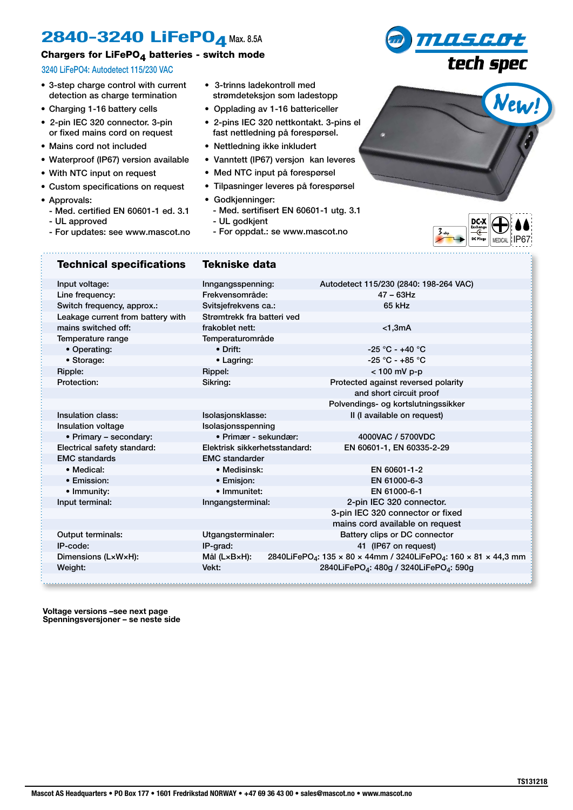## **2840-3240 LiFePO<sub>4</sub> Max. 8.5A**

## Chargers for LiFePO $<sub>4</sub>$  batteries - switch mode</sub>

## 3240 LiFePO4: Autodetect 115/230 VAC

- 3-step charge control with current detection as charge termination
- Charging 1-16 battery cells
- 2-pin IEC 320 connector. 3-pin or fixed mains cord on request
- Mains cord not included
- Waterproof (IP67) version available
- With NTC input on request
- Custom specifications on request
- Approvals:

ķ,

- Med. certified EN 60601-1 ed. 3.1
- UL approved
- For updates: see www.mascot.no
- 3-trinns ladekontroll med strømdeteksjon som ladestopp
- Opplading av 1-16 battericeller
- 2-pins IEC 320 nettkontakt. 3-pins el fast nettledning på forespørsel.
- Nettledning ikke inkludert
- Vanntett (IP67) versjon kan leveres
- Med NTC input på forespørsel
- Tilpasninger leveres på forespørsel
- Godkjenninger:
	- Med. sertifisert EN 60601-1 utg. 3.1
	- UL godkjent

- For oppdat.: se www.mascot.no



mascot<br>tech spec

| <b>Technical specifications</b>   | <b>Tekniske data</b>                                                     |                                                                                          |  |  |  |
|-----------------------------------|--------------------------------------------------------------------------|------------------------------------------------------------------------------------------|--|--|--|
| Input voltage:                    | Inngangsspenning:                                                        | Autodetect 115/230 (2840: 198-264 VAC)                                                   |  |  |  |
| Line frequency:                   | Frekvensområde:                                                          | $47 - 63$ Hz                                                                             |  |  |  |
| Switch frequency, approx.:        | Svitsjefrekvens ca.:                                                     | 65 kHz                                                                                   |  |  |  |
| Leakage current from battery with | Strømtrekk fra batteri ved                                               |                                                                                          |  |  |  |
| mains switched off:               | frakoblet nett:                                                          | $<$ 1,3mA                                                                                |  |  |  |
| Temperature range                 | Temperaturområde                                                         |                                                                                          |  |  |  |
| • Operating:                      | $\bullet$ Drift:                                                         | $-25 °C - +40 °C$                                                                        |  |  |  |
| • Storage:                        | • Lagring:                                                               | $-25 °C - +85 °C$                                                                        |  |  |  |
| Ripple:                           | Rippel:                                                                  | $< 100$ mV p-p                                                                           |  |  |  |
| Protection:                       | Sikring:                                                                 | Protected against reversed polarity                                                      |  |  |  |
|                                   |                                                                          | and short circuit proof                                                                  |  |  |  |
|                                   |                                                                          | Polvendings- og kortslutningssikker                                                      |  |  |  |
| Insulation class:                 | Isolasjonsklasse:                                                        | Il (I available on request)                                                              |  |  |  |
| Insulation voltage                | Isolasjonsspenning                                                       |                                                                                          |  |  |  |
| • Primary - secondary:            | · Primær - sekundær:                                                     | 4000VAC / 5700VDC                                                                        |  |  |  |
| Electrical safety standard:       | Elektrisk sikkerhetsstandard:                                            | EN 60601-1, EN 60335-2-29                                                                |  |  |  |
| <b>EMC</b> standards              | <b>EMC</b> standarder                                                    |                                                                                          |  |  |  |
| • Medical:                        | • Medisinsk:                                                             | EN 60601-1-2                                                                             |  |  |  |
| • Emission:                       | • Emisjon:                                                               | EN 61000-6-3                                                                             |  |  |  |
| • Immunity:                       | · Immunitet:                                                             | EN 61000-6-1                                                                             |  |  |  |
| Input terminal:                   | Inngangsterminal:                                                        | 2-pin IEC 320 connector.                                                                 |  |  |  |
|                                   |                                                                          | 3-pin IEC 320 connector or fixed                                                         |  |  |  |
|                                   |                                                                          | mains cord available on request                                                          |  |  |  |
| Output terminals:                 | Utgangsterminaler:                                                       | Battery clips or DC connector                                                            |  |  |  |
| IP-code:                          | IP-grad:                                                                 | 41 (IP67 on request)                                                                     |  |  |  |
| Dimensions (LxWxH):               | Mål (LxBxH):                                                             | 2840LiFePO <sub>4</sub> : 135 x 80 x 44mm / 3240LiFePO <sub>4</sub> : 160 x 81 x 44,3 mm |  |  |  |
| Weight:                           | 2840LiFePO <sub>4</sub> : 480g / 3240LiFePO <sub>4</sub> : 590g<br>Vekt: |                                                                                          |  |  |  |
|                                   |                                                                          |                                                                                          |  |  |  |
|                                   |                                                                          |                                                                                          |  |  |  |

**Voltage versions –see next page Spenningsversjoner – se neste side**